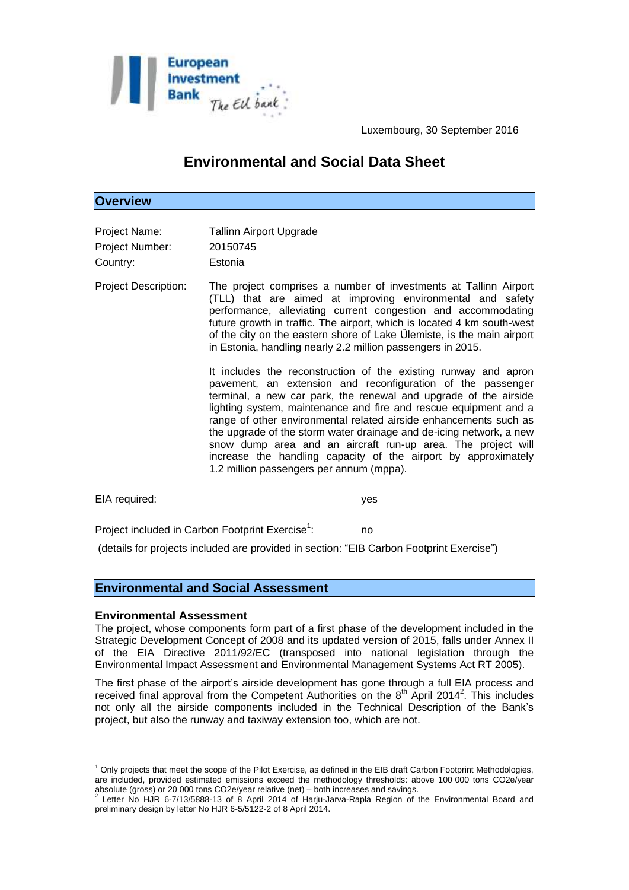

Luxembourg, 30 September 2016

# **Environmental and Social Data Sheet**

# **Overview**

| Project Name:   | <b>Tallinn Airport Upgrade</b> |
|-----------------|--------------------------------|
| Project Number: | 20150745                       |
| Country:        | Estonia                        |

Project Description: The project comprises a number of investments at Tallinn Airport (TLL) that are aimed at improving environmental and safety performance, alleviating current congestion and accommodating future growth in traffic. The airport, which is located 4 km south-west of the city on the eastern shore of Lake Ülemiste, is the main airport in Estonia, handling nearly 2.2 million passengers in 2015.

> It includes the reconstruction of the existing runway and apron pavement, an extension and reconfiguration of the passenger terminal, a new car park, the renewal and upgrade of the airside lighting system, maintenance and fire and rescue equipment and a range of other environmental related airside enhancements such as the upgrade of the storm water drainage and de-icing network, a new snow dump area and an aircraft run-up area. The project will increase the handling capacity of the airport by approximately 1.2 million passengers per annum (mppa).

EIA required: yes

Project included in Carbon Footprint Exercise<sup>1</sup>: : no

(details for projects included are provided in section: "EIB Carbon Footprint Exercise")

# **Environmental and Social Assessment**

### **Environmental Assessment**

<u>.</u>

The project, whose components form part of a first phase of the development included in the Strategic Development Concept of 2008 and its updated version of 2015, falls under Annex II of the EIA Directive 2011/92/EC (transposed into national legislation through the Environmental Impact Assessment and Environmental Management Systems Act RT 2005).

The first phase of the airport's airside development has gone through a full EIA process and received final approval from the Competent Authorities on the  $8<sup>th</sup>$  April 2014<sup>2</sup>. This includes not only all the airside components included in the Technical Description of the Bank's project, but also the runway and taxiway extension too, which are not.

 $1$  Only projects that meet the scope of the Pilot Exercise, as defined in the EIB draft Carbon Footprint Methodologies, are included, provided estimated emissions exceed the methodology thresholds: above 100 000 tons CO2e/year

absolute (gross) or 20 000 tons CO2e/year relative (net) – both increases and savings.<br><sup>2</sup> Letter No HJR 6-7/13/5888-13 of 8 April 2014 of Harju-Jarva-Rapla Region of the Environmental Board and preliminary design by letter No HJR 6-5/5122-2 of 8 April 2014.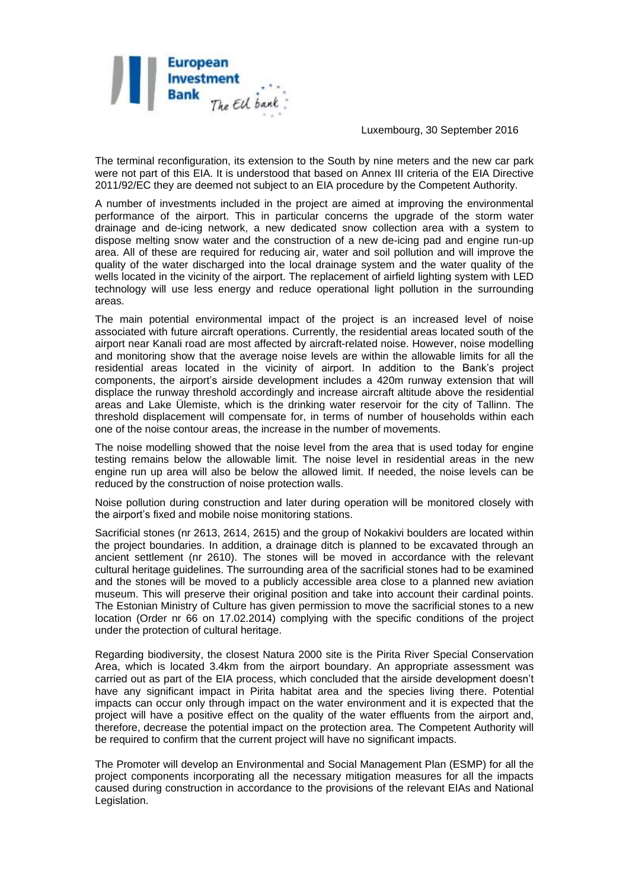

Luxembourg, 30 September 2016

The terminal reconfiguration, its extension to the South by nine meters and the new car park were not part of this EIA. It is understood that based on Annex III criteria of the EIA Directive 2011/92/EC they are deemed not subject to an EIA procedure by the Competent Authority.

A number of investments included in the project are aimed at improving the environmental performance of the airport. This in particular concerns the upgrade of the storm water drainage and de-icing network, a new dedicated snow collection area with a system to dispose melting snow water and the construction of a new de-icing pad and engine run-up area. All of these are required for reducing air, water and soil pollution and will improve the quality of the water discharged into the local drainage system and the water quality of the wells located in the vicinity of the airport. The replacement of airfield lighting system with LED technology will use less energy and reduce operational light pollution in the surrounding areas.

The main potential environmental impact of the project is an increased level of noise associated with future aircraft operations. Currently, the residential areas located south of the airport near Kanali road are most affected by aircraft-related noise. However, noise modelling and monitoring show that the average noise levels are within the allowable limits for all the residential areas located in the vicinity of airport. In addition to the Bank's project components, the airport's airside development includes a 420m runway extension that will displace the runway threshold accordingly and increase aircraft altitude above the residential areas and Lake Ülemiste, which is the drinking water reservoir for the city of Tallinn. The threshold displacement will compensate for, in terms of number of households within each one of the noise contour areas, the increase in the number of movements.

The noise modelling showed that the noise level from the area that is used today for engine testing remains below the allowable limit. The noise level in residential areas in the new engine run up area will also be below the allowed limit. If needed, the noise levels can be reduced by the construction of noise protection walls.

Noise pollution during construction and later during operation will be monitored closely with the airport's fixed and mobile noise monitoring stations.

Sacrificial stones (nr 2613, 2614, 2615) and the group of Nokakivi boulders are located within the project boundaries. In addition, a drainage ditch is planned to be excavated through an ancient settlement (nr 2610). The stones will be moved in accordance with the relevant cultural heritage guidelines. The surrounding area of the sacrificial stones had to be examined and the stones will be moved to a publicly accessible area close to a planned new aviation museum. This will preserve their original position and take into account their cardinal points. The Estonian Ministry of Culture has given permission to move the sacrificial stones to a new location (Order nr 66 on 17.02.2014) complying with the specific conditions of the project under the protection of cultural heritage.

Regarding biodiversity, the closest Natura 2000 site is the Pirita River Special Conservation Area, which is located 3.4km from the airport boundary. An appropriate assessment was carried out as part of the EIA process, which concluded that the airside development doesn't have any significant impact in Pirita habitat area and the species living there. Potential impacts can occur only through impact on the water environment and it is expected that the project will have a positive effect on the quality of the water effluents from the airport and, therefore, decrease the potential impact on the protection area. The Competent Authority will be required to confirm that the current project will have no significant impacts.

The Promoter will develop an Environmental and Social Management Plan (ESMP) for all the project components incorporating all the necessary mitigation measures for all the impacts caused during construction in accordance to the provisions of the relevant EIAs and National Legislation.